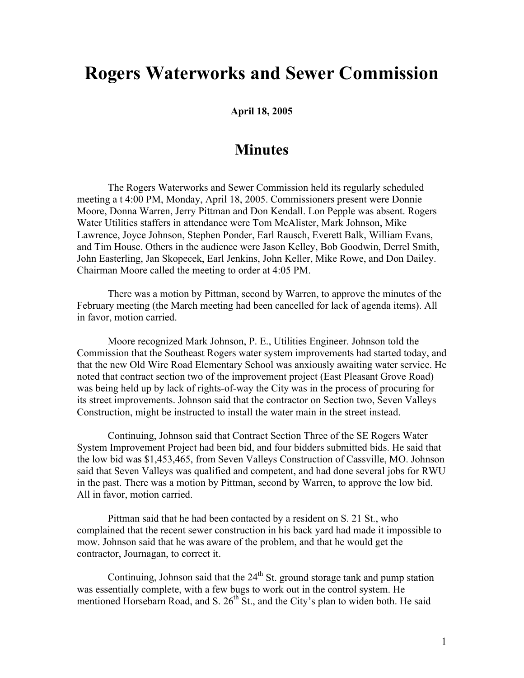## **Rogers Waterworks and Sewer Commission**

**April 18, 2005**

## **Minutes**

The Rogers Waterworks and Sewer Commission held its regularly scheduled meeting a t 4:00 PM, Monday, April 18, 2005. Commissioners present were Donnie Moore, Donna Warren, Jerry Pittman and Don Kendall. Lon Pepple was absent. Rogers Water Utilities staffers in attendance were Tom McAlister, Mark Johnson, Mike Lawrence, Joyce Johnson, Stephen Ponder, Earl Rausch, Everett Balk, William Evans, and Tim House. Others in the audience were Jason Kelley, Bob Goodwin, Derrel Smith, John Easterling, Jan Skopecek, Earl Jenkins, John Keller, Mike Rowe, and Don Dailey. Chairman Moore called the meeting to order at 4:05 PM.

There was a motion by Pittman, second by Warren, to approve the minutes of the February meeting (the March meeting had been cancelled for lack of agenda items). All in favor, motion carried.

Moore recognized Mark Johnson, P. E., Utilities Engineer. Johnson told the Commission that the Southeast Rogers water system improvements had started today, and that the new Old Wire Road Elementary School was anxiously awaiting water service. He noted that contract section two of the improvement project (East Pleasant Grove Road) was being held up by lack of rights-of-way the City was in the process of procuring for its street improvements. Johnson said that the contractor on Section two, Seven Valleys Construction, might be instructed to install the water main in the street instead.

Continuing, Johnson said that Contract Section Three of the SE Rogers Water System Improvement Project had been bid, and four bidders submitted bids. He said that the low bid was \$1,453,465, from Seven Valleys Construction of Cassville, MO. Johnson said that Seven Valleys was qualified and competent, and had done several jobs for RWU in the past. There was a motion by Pittman, second by Warren, to approve the low bid. All in favor, motion carried.

Pittman said that he had been contacted by a resident on S. 21 St., who complained that the recent sewer construction in his back yard had made it impossible to mow. Johnson said that he was aware of the problem, and that he would get the contractor, Journagan, to correct it.

Continuing, Johnson said that the  $24<sup>th</sup>$  St. ground storage tank and pump station was essentially complete, with a few bugs to work out in the control system. He mentioned Horsebarn Road, and S.  $26<sup>th</sup>$  St., and the City's plan to widen both. He said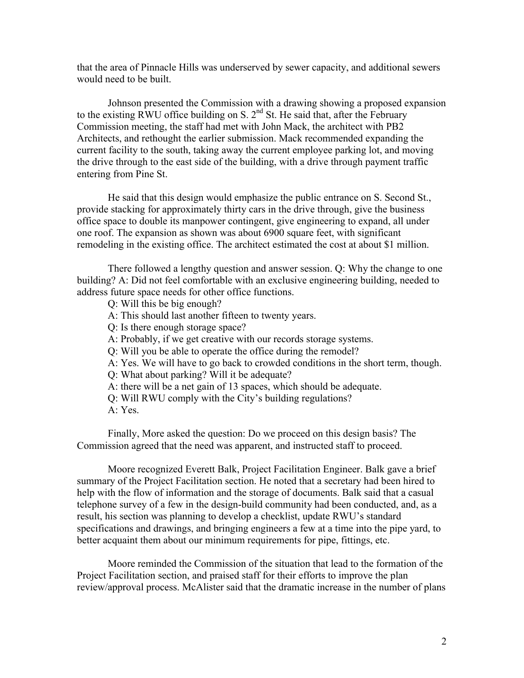that the area of Pinnacle Hills was underserved by sewer capacity, and additional sewers would need to be built.

Johnson presented the Commission with a drawing showing a proposed expansion to the existing RWU office building on S.  $2<sup>nd</sup>$  St. He said that, after the February Commission meeting, the staff had met with John Mack, the architect with PB2 Architects, and rethought the earlier submission. Mack recommended expanding the current facility to the south, taking away the current employee parking lot, and moving the drive through to the east side of the building, with a drive through payment traffic entering from Pine St.

He said that this design would emphasize the public entrance on S. Second St., provide stacking for approximately thirty cars in the drive through, give the business office space to double its manpower contingent, give engineering to expand, all under one roof. The expansion as shown was about 6900 square feet, with significant remodeling in the existing office. The architect estimated the cost at about \$1 million.

There followed a lengthy question and answer session. Q: Why the change to one building? A: Did not feel comfortable with an exclusive engineering building, needed to address future space needs for other office functions.

- Q: Will this be big enough?
- A: This should last another fifteen to twenty years.
- Q: Is there enough storage space?
- A: Probably, if we get creative with our records storage systems.
- Q: Will you be able to operate the office during the remodel?
- A: Yes. We will have to go back to crowded conditions in the short term, though.
- Q: What about parking? Will it be adequate?
- A: there will be a net gain of 13 spaces, which should be adequate.
- Q: Will RWU comply with the City's building regulations?
- A: Yes.

Finally, More asked the question: Do we proceed on this design basis? The Commission agreed that the need was apparent, and instructed staff to proceed.

Moore recognized Everett Balk, Project Facilitation Engineer. Balk gave a brief summary of the Project Facilitation section. He noted that a secretary had been hired to help with the flow of information and the storage of documents. Balk said that a casual telephone survey of a few in the design-build community had been conducted, and, as a result, his section was planning to develop a checklist, update RWU's standard specifications and drawings, and bringing engineers a few at a time into the pipe yard, to better acquaint them about our minimum requirements for pipe, fittings, etc.

Moore reminded the Commission of the situation that lead to the formation of the Project Facilitation section, and praised staff for their efforts to improve the plan review/approval process. McAlister said that the dramatic increase in the number of plans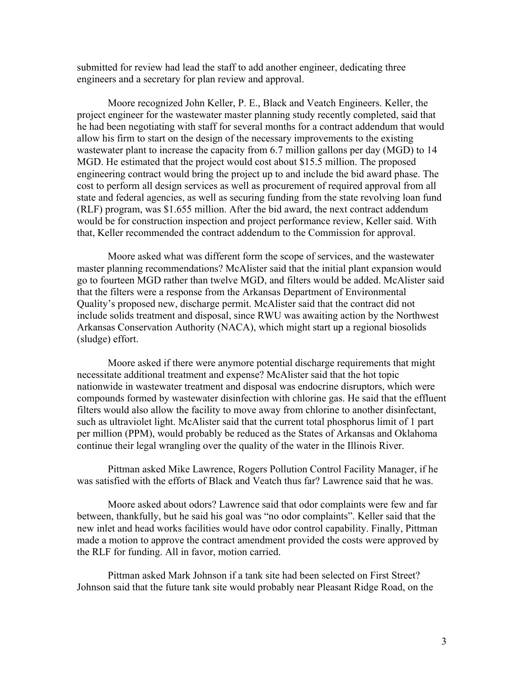submitted for review had lead the staff to add another engineer, dedicating three engineers and a secretary for plan review and approval.

Moore recognized John Keller, P. E., Black and Veatch Engineers. Keller, the project engineer for the wastewater master planning study recently completed, said that he had been negotiating with staff for several months for a contract addendum that would allow his firm to start on the design of the necessary improvements to the existing wastewater plant to increase the capacity from 6.7 million gallons per day (MGD) to 14 MGD. He estimated that the project would cost about \$15.5 million. The proposed engineering contract would bring the project up to and include the bid award phase. The cost to perform all design services as well as procurement of required approval from all state and federal agencies, as well as securing funding from the state revolving loan fund (RLF) program, was \$1.655 million. After the bid award, the next contract addendum would be for construction inspection and project performance review, Keller said. With that, Keller recommended the contract addendum to the Commission for approval.

Moore asked what was different form the scope of services, and the wastewater master planning recommendations? McAlister said that the initial plant expansion would go to fourteen MGD rather than twelve MGD, and filters would be added. McAlister said that the filters were a response from the Arkansas Department of Environmental Quality's proposed new, discharge permit. McAlister said that the contract did not include solids treatment and disposal, since RWU was awaiting action by the Northwest Arkansas Conservation Authority (NACA), which might start up a regional biosolids (sludge) effort.

Moore asked if there were anymore potential discharge requirements that might necessitate additional treatment and expense? McAlister said that the hot topic nationwide in wastewater treatment and disposal was endocrine disruptors, which were compounds formed by wastewater disinfection with chlorine gas. He said that the effluent filters would also allow the facility to move away from chlorine to another disinfectant, such as ultraviolet light. McAlister said that the current total phosphorus limit of 1 part per million (PPM), would probably be reduced as the States of Arkansas and Oklahoma continue their legal wrangling over the quality of the water in the Illinois River.

Pittman asked Mike Lawrence, Rogers Pollution Control Facility Manager, if he was satisfied with the efforts of Black and Veatch thus far? Lawrence said that he was.

Moore asked about odors? Lawrence said that odor complaints were few and far between, thankfully, but he said his goal was "no odor complaints". Keller said that the new inlet and head works facilities would have odor control capability. Finally, Pittman made a motion to approve the contract amendment provided the costs were approved by the RLF for funding. All in favor, motion carried.

Pittman asked Mark Johnson if a tank site had been selected on First Street? Johnson said that the future tank site would probably near Pleasant Ridge Road, on the